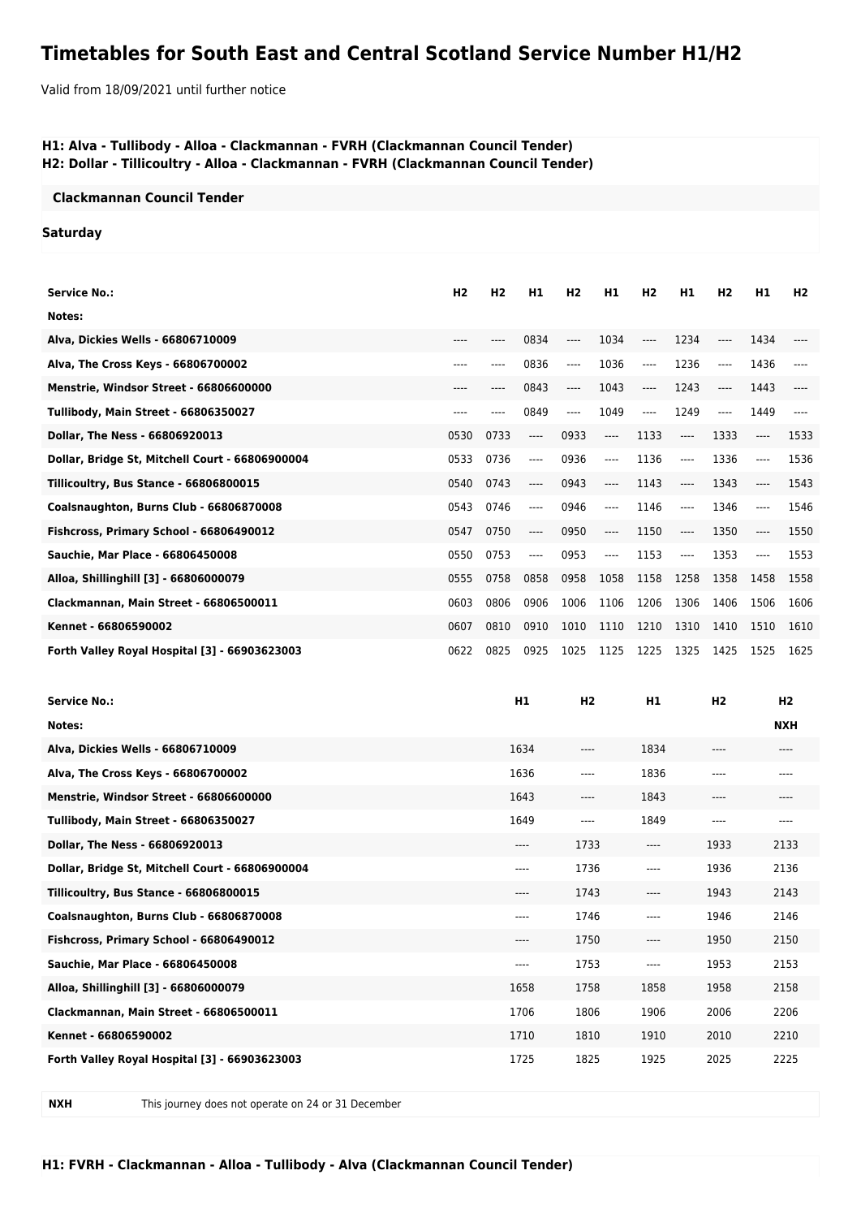# **Timetables for South East and Central Scotland Service Number H1/H2**

Valid from 18/09/2021 until further notice

#### **H1: Alva - Tullibody - Alloa - Clackmannan - FVRH (Clackmannan Council Tender) H2: Dollar - Tillicoultry - Alloa - Clackmannan - FVRH (Clackmannan Council Tender)**

#### **Clackmannan Council Tender**

#### **Saturday**

| <b>Service No.:</b>                             | H <sub>2</sub> | H <sub>2</sub> | H <sub>1</sub> | H <sub>2</sub> | H1       | H <sub>2</sub> | H <sub>1</sub>                | H <sub>2</sub> | H <sub>1</sub> | H <sub>2</sub> |
|-------------------------------------------------|----------------|----------------|----------------|----------------|----------|----------------|-------------------------------|----------------|----------------|----------------|
| Notes:                                          |                |                |                |                |          |                |                               |                |                |                |
| Alva, Dickies Wells - 66806710009               | ----           |                | 0834           | ----           | 1034     | $---$          | 1234                          | ----           | 1434           |                |
| Alva, The Cross Keys - 66806700002              | $---$          | ----           | 0836           | ----           | 1036     | $---$          | 1236                          | ----           | 1436           |                |
| Menstrie, Windsor Street - 66806600000          | ----           | ----           | 0843           | ----           | 1043     | $---$          | 1243                          | ----           | 1443           |                |
| Tullibody, Main Street - 66806350027            | ----           | ----           | 0849           | ----           | 1049     | $---$          | 1249                          | ----           | 1449           |                |
| Dollar, The Ness - 66806920013                  | 0530           | 0733           | $---$          | 0933           | $\cdots$ | 1133           | $---$                         | 1333           | $-----$        | 1533           |
| Dollar, Bridge St, Mitchell Court - 66806900004 | 0533           | 0736           | $---$          | 0936           | $---$    | 1136           | $---$                         | 1336           | $---$          | 1536           |
| Tillicoultry, Bus Stance - 66806800015          | 0540           | 0743           | $---$          | 0943           | $---$    | 1143           | $---$                         | 1343           | ----           | 1543           |
| Coalsnaughton, Burns Club - 66806870008         | 0543           | 0746           | $---$          | 0946           | $---$    | 1146           | ----                          | 1346           | $---$          | 1546           |
| Fishcross, Primary School - 66806490012         | 0547           | 0750           | $---$          | 0950           | ----     | 1150           | $\hspace{1.5cm} \textbf{---}$ | 1350           | $-----$        | 1550           |
| Sauchie, Mar Place - 66806450008                | 0550           | 0753           | ----           | 0953           | $---$    | 1153           | ----                          | 1353           |                | 1553           |
| Alloa, Shillinghill [3] - 66806000079           | 0555           | 0758           | 0858           | 0958           | 1058     | 1158           | 1258                          | 1358           | 1458           | 1558           |
| Clackmannan, Main Street - 66806500011          | 0603           | 0806           | 0906           | 1006           | 1106     | 1206           | 1306                          | 1406           | 1506           | 1606           |
| Kennet - 66806590002                            | 0607           | 0810           | 0910           | 1010           | 1110     | 1210           | 1310                          | 1410           | 1510           | 1610           |
| Forth Valley Royal Hospital [3] - 66903623003   | 0622           | 0825           | 0925           | 1025           | 1125     | 1225           | 1325                          | 1425           | 1525           | 1625           |

| <b>Service No.:</b>                             | H1   | H2       | H1       | H <sub>2</sub> | H <sub>2</sub> |
|-------------------------------------------------|------|----------|----------|----------------|----------------|
| Notes:                                          |      |          |          |                | <b>NXH</b>     |
| Alva, Dickies Wells - 66806710009               | 1634 | $\cdots$ | 1834     | ----           | ----           |
| Alva, The Cross Keys - 66806700002              | 1636 | $---$    | 1836     | ----           | ----           |
| Menstrie, Windsor Street - 66806600000          | 1643 | ----     | 1843     | ----           | ----           |
| Tullibody, Main Street - 66806350027            | 1649 | $---$    | 1849     | ----           | ----           |
| Dollar, The Ness - 66806920013                  | ---- | 1733     | $---$    | 1933           | 2133           |
| Dollar, Bridge St, Mitchell Court - 66806900004 | ---- | 1736     | ----     | 1936           | 2136           |
| Tillicoultry, Bus Stance - 66806800015          | ---- | 1743     | $---$    | 1943           | 2143           |
| Coalsnaughton, Burns Club - 66806870008         | ---- | 1746     | ----     | 1946           | 2146           |
| Fishcross, Primary School - 66806490012         | ---- | 1750     | $---$    | 1950           | 2150           |
| Sauchie, Mar Place - 66806450008                | ---- | 1753     | $\cdots$ | 1953           | 2153           |
| Alloa, Shillinghill [3] - 66806000079           | 1658 | 1758     | 1858     | 1958           | 2158           |
| Clackmannan, Main Street - 66806500011          | 1706 | 1806     | 1906     | 2006           | 2206           |
| Kennet - 66806590002                            | 1710 | 1810     | 1910     | 2010           | 2210           |
| Forth Valley Royal Hospital [3] - 66903623003   | 1725 | 1825     | 1925     | 2025           | 2225           |

**NXH** This journey does not operate on 24 or 31 December